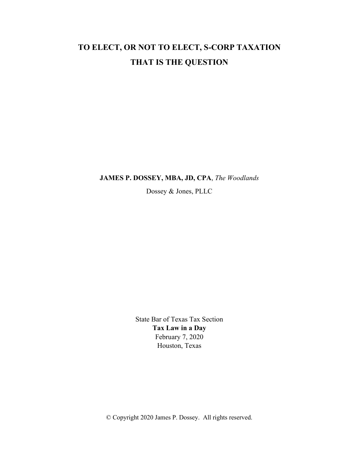# TO ELECT, OR NOT TO ELECT, S-CORP TAXATION THAT IS THE QUESTION

JAMES P. DOSSEY, MBA, JD, CPA, The Woodlands

Dossey & Jones, PLLC

State Bar of Texas Tax Section Tax Law in a Day February 7, 2020 Houston, Texas

© Copyright 2020 James P. Dossey. All rights reserved.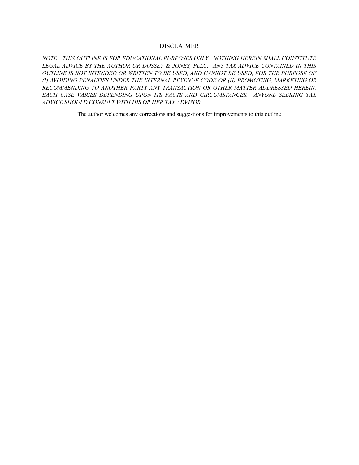#### DISCLAIMER

NOTE: THIS OUTLINE IS FOR EDUCATIONAL PURPOSES ONLY. NOTHING HEREIN SHALL CONSTITUTE LEGAL ADVICE BY THE AUTHOR OR DOSSEY & JONES, PLLC. ANY TAX ADVICE CONTAINED IN THIS OUTLINE IS NOT INTENDED OR WRITTEN TO BE USED, AND CANNOT BE USED, FOR THE PURPOSE OF (I) AVOIDING PENALTIES UNDER THE INTERNAL REVENUE CODE OR (II) PROMOTING, MARKETING OR RECOMMENDING TO ANOTHER PARTY ANY TRANSACTION OR OTHER MATTER ADDRESSED HEREIN. EACH CASE VARIES DEPENDING UPON ITS FACTS AND CIRCUMSTANCES. ANYONE SEEKING TAX ADVICE SHOULD CONSULT WITH HIS OR HER TAX ADVISOR.

The author welcomes any corrections and suggestions for improvements to this outline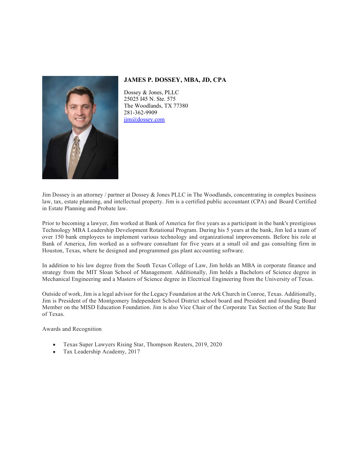

JAMES P. DOSSEY, MBA, JD, CPA

Dossey & Jones, PLLC 25025 I45 N. Ste. 575 The Woodlands, TX 77380 281-362-9909 jim@dossey.com

Jim Dossey is an attorney / partner at Dossey & Jones PLLC in The Woodlands, concentrating in complex business law, tax, estate planning, and intellectual property. Jim is a certified public accountant (CPA) and Board Certified in Estate Planning and Probate law.

Prior to becoming a lawyer, Jim worked at Bank of America for five years as a participant in the bank's prestigious Technology MBA Leadership Development Rotational Program. During his 5 years at the bank, Jim led a team of over 150 bank employees to implement various technology and organizational improvements. Before his role at Bank of America, Jim worked as a software consultant for five years at a small oil and gas consulting firm in Houston, Texas, where he designed and programmed gas plant accounting software.

In addition to his law degree from the South Texas College of Law, Jim holds an MBA in corporate finance and strategy from the MIT Sloan School of Management. Additionally, Jim holds a Bachelors of Science degree in Mechanical Engineering and a Masters of Science degree in Electrical Engineering from the University of Texas.

Outside of work, Jim is a legal advisor for the Legacy Foundation at the Ark Church in Conroe, Texas. Additionally, Jim is President of the Montgomery Independent School District school board and President and founding Board Member on the MISD Education Foundation. Jim is also Vice Chair of the Corporate Tax Section of the State Bar of Texas.

Awards and Recognition

- Texas Super Lawyers Rising Star, Thompson Reuters, 2019, 2020
- Tax Leadership Academy, 2017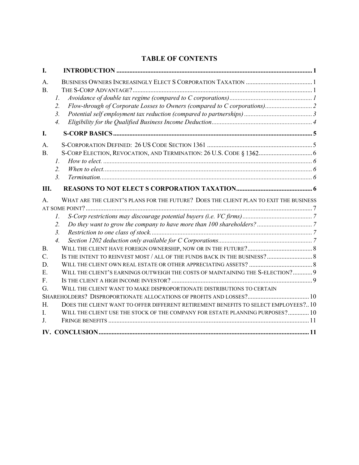# TABLE OF CONTENTS

| I.        |                                                                                       |  |
|-----------|---------------------------------------------------------------------------------------|--|
| A.        |                                                                                       |  |
| <b>B.</b> |                                                                                       |  |
|           | Ι.                                                                                    |  |
|           | 2.                                                                                    |  |
|           | 3.                                                                                    |  |
|           | $\overline{4}$ .                                                                      |  |
| I.        |                                                                                       |  |
|           |                                                                                       |  |
| A.        |                                                                                       |  |
| <b>B.</b> |                                                                                       |  |
|           |                                                                                       |  |
|           |                                                                                       |  |
|           | $\mathbf{3}$                                                                          |  |
| Ш.        |                                                                                       |  |
| A.        | WHAT ARE THE CLIENT'S PLANS FOR THE FUTURE? DOES THE CLIENT PLAN TO EXIT THE BUSINESS |  |
|           |                                                                                       |  |
|           |                                                                                       |  |
|           | 2.                                                                                    |  |
|           | $\mathfrak{Z}$ .                                                                      |  |
|           | $\overline{4}$ .                                                                      |  |
| <b>B.</b> |                                                                                       |  |
| C.        | IS THE INTENT TO REINVEST MOST / ALL OF THE FUNDS BACK IN THE BUSINESS? 8             |  |
| D.        |                                                                                       |  |
| Ε.        | WILL THE CLIENT'S EARNINGS OUTWEIGH THE COSTS OF MAINTAINING THE S-ELECTION? 9        |  |
| F.        |                                                                                       |  |
| G.        | WILL THE CLIENT WANT TO MAKE DISPROPORTIONATE DISTRIBUTIONS TO CERTAIN                |  |
|           |                                                                                       |  |
| H.        |                                                                                       |  |
|           | DOES THE CLIENT WANT TO OFFER DIFFERENT RETIREMENT BENEFITS TO SELECT EMPLOYEES ? 10  |  |
| I.        | WILL THE CLIENT USE THE STOCK OF THE COMPANY FOR ESTATE PLANNING PURPOSES? 10         |  |
| J.        |                                                                                       |  |
|           |                                                                                       |  |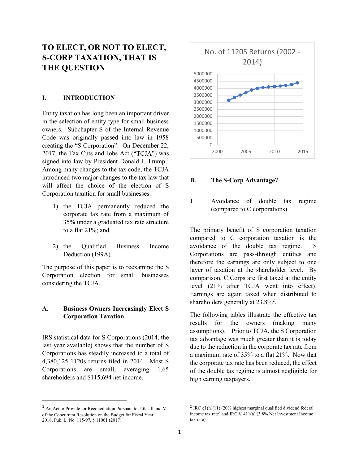# TO ELECT, OR NOT TO ELECT, S-CORP TAXATION, THAT IS THE QUESTION

#### I. INTRODUCTION

Entity taxation has long been an important driver in the selection of entity type for small business owners. Subchapter S of the Internal Revenue Code was originally passed into law in 1958 creating the "S Corporation". On December 22,  $0 \rightarrow 2017$  the Tex Cuts and Jobs. Act ("TCJA") was  $2017$ , the Tax Cuts and Jobs Act ("TCJA") was signed into law by President Donald J. Trump.<sup>1</sup> Among many changes to the tax code, the TCJA introduced two major changes to the tax law that will affect the choice of the election of S Corporation taxation for small businesses:

- 1) the TCJA permanently reduced the 1. corporate tax rate from a maximum of 35% under a graduated tax rate structure to a flat 21%; and
- Deduction (199A).

Corporation election for small businesses considering the TCJA.

# A. Business Owners Increasingly Elect S Corporation Taxation

IRS statistical data for S Corporations (2014, the last year available) shows that the number of S Corporations has steadily increased to a total of 4,380,125 1120s returns filed in 2014. Most S Corporations are small, averaging 1.65 shareholders and \$115,694 net income.



# The S-Corp Advantage?

Avoidance of double tax regime (compared to C corporations)

2) the Qualified Business Income avoidance of the double tax regime. S The purpose of this paper is to reexamine the S<br>layer of taxation at the shareholder level. By The primary benefit of S corporation taxation Corporations are pass-through entities and therefore the earnings are only subject to one 1500000<br>
1000000<br>
2000 2005 2010 2015<br>
2000 2005 2010 2015<br> **B.** The S-Corp Advantage?<br>
(<u>compared to C corporations</u>)<br>
The primary benefit of S corporation taxation<br>
compared to C corporations)<br>
The primary benefit of S comparison, C Corps are first taxed at the entity level (21% after TCJA went into effect). Earnings are again taxed when distributed to shareholders generally at  $23.8\%$ <sup>2</sup>.

> The following tables illustrate the effective tax results for the owners (making many assumptions). Prior to TCJA, the S Corporation tax advantage was much greater than it is today due to the reduction in the corporate tax rate from a maximum rate of 35% to a flat 21%. Now that the corporate tax rate has been reduced, the effect of the double tax regime is almost negligible for high earning taxpayers.

<sup>1</sup> An Act to Provide for Reconciliation Pursuant to Titles II and V of the Concurrent Resolution on the Budget for Fiscal Year 2018, Pub. L. No. 115-97, § 11061 (2017)

<sup>&</sup>lt;sup>2</sup> IRC  $\S1(h)(11)$  (20% highest marginal qualified dividend federal income tax rate) and IRC §1411(a) (3.8% Net Investment Income tax rate)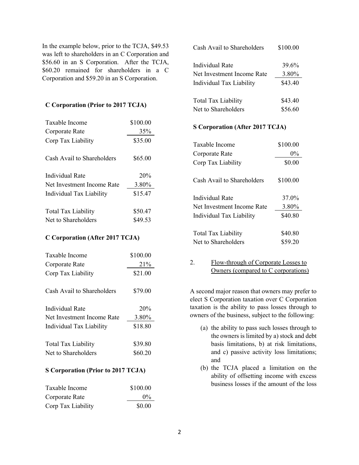In the example below, prior to the TCJA, \$49.53 Cash Avail to was left to shareholders in an C Corporation and \$56.60 in an S Corporation. After the TCJA, \$60.20 remained for shareholders in a C Corporation and \$59.20 in an S Corporation.

#### C Corporation (Prior to 2017 TCJA)

| Taxable Income<br>Corporate Rate                  | \$100.00<br>35%    | S Corporation (After 2017 TCJA)                                            |
|---------------------------------------------------|--------------------|----------------------------------------------------------------------------|
| Corp Tax Liability                                | \$35.00            | \$100.00<br>Taxable Income                                                 |
| Cash Avail to Shareholders                        | \$65.00            | $0\%$<br>Corporate Rate                                                    |
|                                                   |                    | Corp Tax Liability<br>\$0.00                                               |
| Individual Rate                                   | 20%                | Cash Avail to Shareholders<br>\$100.00                                     |
| Net Investment Income Rate                        | 3.80%              |                                                                            |
| Individual Tax Liability                          | \$15.47            | Individual Rate<br>37.0%                                                   |
| <b>Total Tax Liability</b><br>Net to Shareholders | \$50.47<br>\$49.53 | Net Investment Income Rate<br>3.80%<br>\$40.80<br>Individual Tax Liability |

#### C Corporation (After 2017 TCJA)

| Taxable Income             | \$100.00 |                                                                                                    |
|----------------------------|----------|----------------------------------------------------------------------------------------------------|
| Corporate Rate             | 21%      | 2.<br>Flow-through of Corporate Losses to                                                          |
| Corp Tax Liability         | \$21.00  | Owners (compared to C corporations)                                                                |
| Cash Avail to Shareholders | \$79.00  | A second major reason that owners may prefer to<br>elect S Corporation taxation over C Corporation |
| Individual Rate            | 20%      | taxation is the ability to pass losses through to                                                  |
| Net Investment Income Rate | 3.80%    | owners of the business, subject to the following:                                                  |
| Individual Tax Liability   | \$18.80  | (a) the ability to pass such losses through to<br>the owners is limited by a) stock and debt       |
| <b>Total Tax Liability</b> | \$39.80  | basis limitations, b) at risk limitations,                                                         |
| Net to Shareholders        | \$60.20  | and c) passive activity loss limitations;                                                          |

#### S Corporation (Prior to 2017 TCJA)

| Taxable Income     | \$100.00 | business losses if the amount of the |
|--------------------|----------|--------------------------------------|
| Corporate Rate     | $0\%$    |                                      |
| Corp Tax Liability | \$0.00   |                                      |

| Cash Avail to Shareholders | \$100.00 |
|----------------------------|----------|
| Individual Rate            | 39.6%    |
| Net Investment Income Rate | 3.80%    |
| Individual Tax Liability   | \$43.40  |
| <b>Total Tax Liability</b> | \$43.40  |
| Net to Shareholders        | \$56.60  |

#### S Corporation (After 2017 TCJA)

| Corp Tax Liability              | \$35.00 | Taxable Income                  | \$100.00 |  |
|---------------------------------|---------|---------------------------------|----------|--|
| Cash Avail to Shareholders      | \$65.00 | Corporate Rate                  | $0\%$    |  |
|                                 |         | Corp Tax Liability              | \$0.00   |  |
| <b>Individual Rate</b>          | 20%     | Cash Avail to Shareholders      | \$100.00 |  |
| Net Investment Income Rate      | 3.80%   |                                 |          |  |
| Individual Tax Liability        | \$15.47 | Individual Rate                 | 37.0%    |  |
| Total Tax Liability             | \$50.47 | Net Investment Income Rate      | 3.80%    |  |
| Net to Shareholders             | \$49.53 | <b>Individual Tax Liability</b> | \$40.80  |  |
|                                 |         |                                 |          |  |
| C Corporation (After 2017 TCJA) |         | Total Tax Liability             | \$40.80  |  |
|                                 |         | Net to Shareholders             | \$59.20  |  |
|                                 |         |                                 |          |  |

## Corporate Rate 21% 2. Flow-through of Corporate Losses to Owners (compared to C corporations)

- (a) the ability to pass such losses through to the owners is limited by a) stock and debt basis limitations, b) at risk limitations, and c) passive activity loss limitations; and (b) the TCJA placed a limitation on the ability of the TCJA place is the TCJA place of the TCJA placed a limitation on the ability of the TCJA placed a limitation on the ability to pass such losses through to the solid to
- ability of offsetting income with excess business losses if the amount of the loss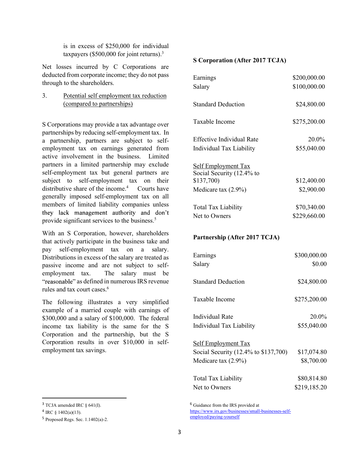taxpayers (\$500,000 for joint returns).<sup>3</sup>

is in excess of \$250,000 for individual<br>taxpayers (\$500,000 for joint returns).<sup>3</sup><br>ses incurred by C Corporations are<br>d from corporate income; they do not pass<br>to the shareholders.<br>Setternal contents of the shareholders. Net losses incurred by C Corporations are deducted from corporate income; they do not pass through to the shareholders.

3. Potential self employment tax reduction (compared to partnerships)

S Corporations may provide a tax advantage over partnerships by reducing self-employment tax. In a partnership, partners are subject to selfemployment tax on earnings generated from active involvement in the business. Limited partners in a limited partnership may exclude self-employment tax but general partners are subject to self-employment tax on their distributive share of the income.<sup>4</sup> Courts have generally imposed self-employment tax on all members of limited liability companies unless they lack management authority and don't provide significant services to the business.<sup>5</sup>

 With an S Corporation, however, shareholders that actively participate in the business take and pay self-employment tax on a salary. Distributions in excess of the salary are treated as passive income and are not subject to selfemployment tax. The salary must be "reasonable" as defined in numerous IRS revenue rules and tax court cases.6

The following illustrates a very simplified example of a married couple with earnings of \$300,000 and a salary of \$100,000. The federal income tax liability is the same for the S Corporation and the partnership, but the S Corporation results in over \$10,000 in selfemployment tax savings.

#### S Corporation (After 2017 TCJA)

| Earnings                                                | \$200,000.00 |  |
|---------------------------------------------------------|--------------|--|
| Salary                                                  | \$100,000.00 |  |
| <b>Standard Deduction</b>                               | \$24,800.00  |  |
| Taxable Income                                          | \$275,200.00 |  |
| <b>Effective Individual Rate</b>                        | 20.0%        |  |
| Individual Tax Liability                                | \$55,040.00  |  |
| <b>Self Employment Tax</b><br>Social Security (12.4% to |              |  |
| \$137,700)                                              | \$12,400.00  |  |
| Medicare tax $(2.9\%)$                                  | \$2,900.00   |  |
| <b>Total Tax Liability</b>                              | \$70,340.00  |  |
| Net to Owners                                           | \$229,660.00 |  |
|                                                         |              |  |

#### Partnership (After 2017 TCJA)

| Earnings                             | \$300,000.00 |  |  |  |
|--------------------------------------|--------------|--|--|--|
| Salary                               | \$0.00       |  |  |  |
| <b>Standard Deduction</b>            | \$24,800.00  |  |  |  |
| Taxable Income                       | \$275,200.00 |  |  |  |
| Individual Rate                      | 20.0%        |  |  |  |
| Individual Tax Liability             | \$55,040.00  |  |  |  |
| <b>Self Employment Tax</b>           |              |  |  |  |
| Social Security (12.4% to \$137,700) | \$17,074.80  |  |  |  |
| Medicare tax $(2.9\%)$               | \$8,700.00   |  |  |  |
| <b>Total Tax Liability</b>           | \$80,814.80  |  |  |  |
| Net to Owners                        | \$219,185.20 |  |  |  |

<sup>6</sup> Guidance from the IRS provided at

 $3$  TCJA amended IRC  $\S$  641(I).

 $4 \text{ IRC } \S$  1402(a)(13).

 $5$  Proposed Regs. Sec. 1.1402(a)-2.

https://www.irs.gov/businesses/small-businesses-selfemployed/paying-yourself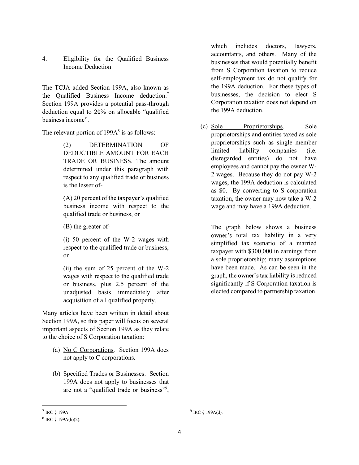# 4. Eligibility for the Qualified Business Income Deduction

The TCJA added Section 199A, also known as the Qualified Business Income deduction.7 Section 199A provides a potential pass-through deduction equal to 20% on allocable "qualified business income".<br>The relevant portion of 199A<sup>8</sup> is as follows: (c)  $\frac{S}{n}$ 

(2) DETERMINATION OF proprie DEDUCTIBLE AMOUNT FOR EACH TRADE OR BUSINESS. The amount determined under this paragraph with respect to any qualified trade or business is the lesser of-

 $(A)$  20 percent of the taxpayer's qualified business income with respect to the qualified trade or business, or

(B) the greater of-

respect to the qualified trade or business,<br>taxpayer with \$300,000 in earnings from or

(ii) the sum of 25 percent of the W-2 wages with respect to the qualified trade or business, plus 2.5 percent of the unadjusted basis immediately after acquisition of all qualified property.

Many articles have been written in detail about Section 199A, so this paper will focus on several important aspects of Section 199A as they relate to the choice of S Corporation taxation:

- (a) No C Corporations. Section 199A does not apply to C corporations.
- (b) Specified Trades or Businesses. Section 199A does not apply to businesses that are not a "qualified trade or business"<sup>9</sup>,

which includes doctors, lawyers, accountants, and others. Many of the businesses that would potentially benefit from S Corporation taxation to reduce self-employment tax do not qualify for the 199A deduction. For these types of businesses, the decision to elect S Corporation taxation does not depend on the 199A deduction. which includes doctors, lawyers,<br>accountants, and others. Many of the<br>businesses that would potentially benefit<br>from S Corporation taxation to reduce<br>self-employment tax do not qualify for<br>the 199A deduction. For these typ

(c) Sole Proprietorships. Sole proprietorships and entities taxed as sole proprietorships such as single member disregarded entities) do not have employees and cannot pay the owner W-2 wages. Because they do not pay W-2 wages, the 199A deduction is calculated as \$0. By converting to S corporation taxation, the owner may now take a W-2 wage and may have a 199A deduction. deduction. For these types of<br>s, the decision to elect S<br>on taxation does not depend on<br>deduction.<br><u>Proprietorships</u>. Sole<br>ships and entities taxed as sole<br>ships such as single member<br>liability companies (i.e.<br>ed entities) businesses, the decision to elect S<br>Corporation taxation does not depend on<br>the 199A deduction.<br>Sole represented the proprietorships. Sole<br>proprietorships and entities taxed as sole<br>proprietorships such as single member<br>li Corporation taxation does not depend on<br>the 199A deduction.<br>Sole Proprietorships. Sole<br>proprietorships and entities taxed as sole<br>proprietorships and entities taxed as sole<br>proprietorships such as single member<br>limited lia

(i) 50 percent of the W-2 wages with<br>simplified tax scenario of a married The graph below shows a business a sole proprietorship; many assumptions have been made. As can be seen in the graph, the owner's tax liability is reduced significantly if S Corporation taxation is elected compared to partnership taxation.

 $7 \text{ IRC }$  § 199A.

 $8 \text{ IRC } \S$  199A(b)(2).

 $^{9}$  IRC § 199A(d).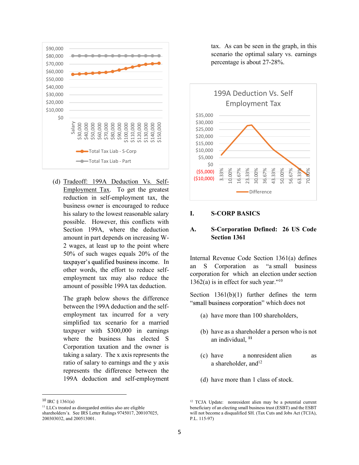

(d) Tradeoff: 199A Deduction Vs. Self-Employment Tax. To get the greatest reduction in self-employment tax, the business owner is encouraged to reduce his salary to the lowest reasonable salary **I.** possible. However, this conflicts with Section 199A, where the deduction A. amount in part depends on increasing W-2 wages, at least up to the point where 50% of such wages equals 20% of the other words, the effort to reduce selfamount of possible 199A tax deduction.

The graph below shows the difference between the 199A deduction and the selfemployment tax incurred for a very simplified tax scenario for a married taxpayer with \$300,000 in earnings where the business has elected S Corporation taxation and the owner is taking a salary. The x axis represents the ratio of salary to earnings and the y axis represents the difference between the 199A deduction and self-employment

tax. As can be seen in the graph, in this scenario the optimal salary vs. earnings percentage is about 27-28%.



#### **S-CORP BASICS**

# S-Corporation Defined: 26 US Code Section 1361

In  $\frac{\text{Im}{\text{Im}}}{\text{Im}}$  an S Corporation as "a small business" employment tax may also reduce the  $\frac{12666 \times 10^{-10}}{22666 \times 10^{-10}}$  and  $\frac{100}{200}$ Internal Revenue Code Section 1361(a) defines 1362(a) is in effect for such year."<sup>10</sup>

> Section 1361(b)(1) further defines the term "small business corporation" which does not

- (a) have more than 100 shareholders,
- (b) have as a shareholder a person who is not an individual, <sup>11</sup>
- a nonresident alien as a shareholder, and $12$
- (d) have more than 1 class of stock.

 $10$  IRC § 1361(a)

<sup>&</sup>lt;sup>11</sup> LLCs treated as disregarded entities also are eligible shareholders's. See IRS Letter Rulings 9745017, 200107025, 200303032, and 200513001.

<sup>&</sup>lt;sup>12</sup> TCJA Update: nonresident alien may be a potential current beneficiary of an electing small business trust (ESBT) and the ESBT will not become a disqualified SH. (Tax Cuts and Jobs Act (TCJA), P.L. 115-97)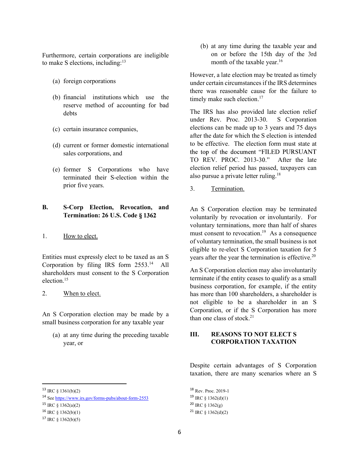Furthermore, certain corporations are ineligible to make S elections, including: $13$ 

- (a) foreign corporations
- (b) financial institutions which use the reserve method of accounting for bad debts
- (c) certain insurance companies,
- sales corporations, and
- (e) former S Corporations who have terminated their S-election within the prior five years.

# B. S-Corp Election, Revocation, and Termination: 26 U.S. Code

#### 1. How to elect.

Entities must expressly elect to be taxed as an S Corporation by filing IRS form 2553.14 All shareholders must consent to the S Corporation election.15

#### 2. When to elect.

An S Corporation election may be made by a small business corporation for any taxable year

(a) at any time during the preceding taxable year, or

(b) at any time during the taxable year and<br>on or before the 15th day of the 3rd<br>month of the taxable year.<sup>16</sup><br>wever, a late election may be treated as timely<br>er certain circumstances if the IRS determines on or before the 15th day of the 3rd month of the taxable year.<sup>16</sup>

However, a late election may be treated as timely under certain circumstances if the IRS determines there was reasonable cause for the failure to timely make such election.<sup>17</sup>

(d) current or former domestic international<br>sales corrections and<br>the top of the document "FILED PURSUANT The IRS has also provided late election relief under Rev. Proc. 2013-30. S Corporation elections can be made up to 3 years and 75 days after the date for which the S election is intended to be effective. The election form must state at TO REV. PROC. 2013-30." After the late election relief period has passed, taxpayers can also pursue a private letter ruling.18 However, a late election may be treated as timely<br>under certain circumstances if the IRS determines<br>there was reasonable cause for the failure to<br>timely make such election.<sup>17</sup><br>The IRS has also provided late election reli

3. Termination.

An S Corporation election may be terminated voluntary terminations, more than half of shares must consent to revocation.<sup>19</sup> As a consequence of voluntary termination, the small business is not eligible to re-elect S Corporation taxation for 5 years after the year the termination is effective.<sup>20</sup>

An S Corporation election may also involuntarily terminate if the entity ceases to qualify as a small business corporation, for example, if the entity has more than 100 shareholders, a shareholder is not eligible to be a shareholder in an S Corporation, or if the S Corporation has more than one class of stock. $21$ 

# **REASONS TO NOT ELECT S** CORPORATION TAXATION

Despite certain advantages of S Corporation taxation, there are many scenarios where an S

<sup>18</sup> Rev. Proc. 2019-1 <sup>19</sup> IRC § 1362(d)(1)  $^{20}$  IRC  $\frac{1362(e)}{e}$ <sup>21</sup> IRC § 1362(d)(2)

 $13 \text{ IRC }$ § 1361(b)(2)

<sup>14</sup> See https://www.irs.gov/forms-pubs/about-form-2553

<sup>&</sup>lt;sup>15</sup> IRC § 1362(a)(2)

 $16$  IRC  $\{(1362(b)(1))$ 

 $17 \text{ IRC }$ § 1362(b)(5)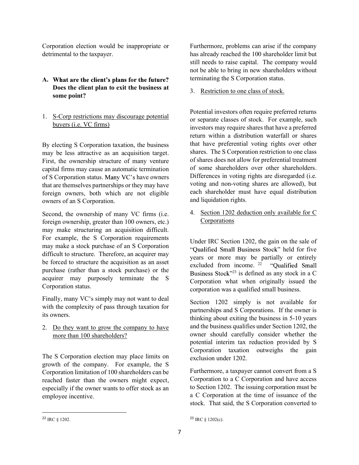detrimental to the taxpayer.

# A. What are the client's plans for the future? Does the client plan to exit the business at some point?

1. S-Corp restrictions may discourage potential buyers (i.e. VC firms)

By electing S Corporation taxation, the business may be less attractive as an acquisition target. First, the ownership structure of many venture capital firms may cause an automatic termination of S Corporation status. Many VC's have owners that are themselves partnerships or they may have foreign owners, both which are not eligible owners of an S Corporation.

Second, the ownership of many VC firms (i.e. foreign ownership, greater than 100 owners, etc.) may make structuring an acquisition difficult. For example, the S Corporation requirements may make a stock purchase of an S Corporation difficult to structure. Therefore, an acquirer may be forced to structure the acquisition as an asset purchase (rather than a stock purchase) or the acquirer may purposely terminate the S Corporation status.

Finally, many VC's simply may not want to deal with the complexity of pass through taxation for its owners.

2. Do they want to grow the company to have more than 100 shareholders?

The S Corporation election may place limits on growth of the company. For example, the S Corporation limitation of 100 shareholders can be reached faster than the owners might expect, especially if the owner wants to offer stock as an employee incentive.

Corporation election would be inappropriate or<br>
Eurthermore, problems can arise if the company<br>
detrimental to the taxpayer.<br>
Still needs to raise capital. The company would<br>
not be able to bring in new shareholders withou Furthermore, problems can arise if the company<br>has already reached the 100 shareholder limit but<br>still needs to raise capital. The company would<br>not be able to bring in new shareholders without<br>terminating the S Corporatio Furthermore, problems can arise if the company<br>has already reached the 100 shareholder limit but<br>still needs to raise capital. The company would<br>not be able to bring in new shareholders without<br>terminating the S Corporatio still needs to raise capital. The company would not be able to bring in new shareholders without terminating the S Corporation status.

3. Restriction to one class of stock.

Potential investors often require preferred returns or separate classes of stock. For example, such investors may require shares that have a preferred return within a distribution waterfall or shares that have preferential voting rights over other shares. The S Corporation restriction to one class of shares does not allow for preferential treatment of some shareholders over other shareholders. Differences in voting rights are disregarded (i.e. voting and non-voting shares are allowed), but each shareholder must have equal distribution and liquidation rights.

4. Section 1202 deduction only available for C Corporations

Under IRC Section 1202, the gain on the sale of "Oualified Small Business Stock" held for five years or more may be partially or entirely excluded from income.  $2^2$  "Oualified Small" Business Stock"<sup>23</sup> is defined as any stock in a C Corporation what when originally issued the corporation was a qualified small business.

Section 1202 simply is not available for partnerships and S Corporations. If the owner is thinking about exiting the business in 5-10 years and the business qualifies under Section 1202, the owner should carefully consider whether the potential interim tax reduction provided by S Corporation taxation outweighs the gain exclusion under 1202.

Furthermore, a taxpayer cannot convert from a S Corporation to a C Corporation and have access to Section 1202. The issuing corporation must be a C Corporation at the time of issuance of the stock. That said, the S Corporation converted to

 $23$  IRC § 1202(c).

<sup>22</sup> IRC § 1202.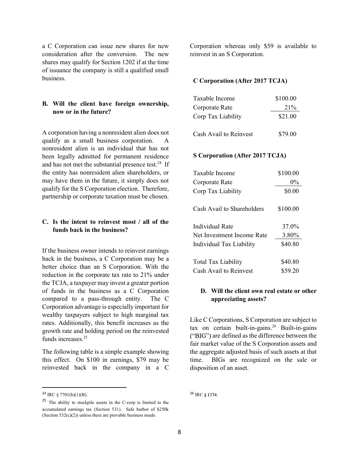a C Corporation can issue new shares for new consideration after the conversion. The new shares may qualify for Section 1202 if at the time of issuance the company is still a qualified small business.

# B. Will the client have foreign ownership, now or in the future?

A corporation having a nonresident alien does not qualify as a small business corporation. A nonresident alien is an individual that has not been legally admitted for permanent residence and has not met the substantial presence test.<sup>24</sup> If the entity has nonresident alien shareholders, or may have them in the future, it simply does not qualify for the S Corporation election. Therefore, partnership or corporate taxation must be chosen.

## C. Is the intent to reinvest most / all of the funds back in the business?

If the business owner intends to reinvest earnings back in the business, a C Corporation may be a better choice than an S Corporation. With the reduction in the corporate tax rate to 21% under the TCJA, a taxpayer may invest a greater portion of funds in the business as a C Corporation **D. Will the client own real estate or other** compared to a pass-through entity. The C Corporation advantage is especially important for wealthy taxpayers subject to high marginal tax rates. Additionally, this benefit increases as the growth rate and holding period on the reinvested funds increases.<sup>25</sup>

The following table is a simple example showing this effect. On \$100 in earnings, \$79 may be reinvested back in the company in a C

Corporation whereas only \$59 is available to reinvest in an S Corporation.

## C Corporation (After 2017 TCJA)

| Taxable Income         | \$100.00 |
|------------------------|----------|
| Corporate Rate         | 21%      |
| Corp Tax Liability     | \$21.00  |
| Cash Avail to Reinvest | \$79.00  |

#### S Corporation (After 2017 TCJA)

| <b>S Corporation (After 2017 TCJA)</b>                              |          |
|---------------------------------------------------------------------|----------|
| Taxable Income                                                      | \$100.00 |
| Corporate Rate                                                      | $0\%$    |
| Corp Tax Liability                                                  | \$0.00   |
| Cash Avail to Shareholders                                          | \$100.00 |
| <b>Individual Rate</b>                                              | 37.0%    |
| Net Investment Income Rate                                          | 3.80%    |
| Individual Tax Liability                                            | \$40.80  |
| <b>Total Tax Liability</b>                                          | \$40.80  |
| Cash Avail to Reinvest                                              | \$59.20  |
| D. Will the client own real estate or other<br>appreciating assets? |          |
|                                                                     |          |

# appreciating assets?

Like C Corporations, S Corporation are subject to  $tax$  on certain built-in-gains.<sup>26</sup> Built-in-gains ("BIG") are defined as the difference between the fair market value of the S Corporation assets and the aggregate adjusted basis of such assets at that BIGs are recognized on the sale or disposition of an asset.

<sup>26</sup> IRC § 1374.

 $24$  IRC § 7701(b)(1)(B).

<sup>25</sup> The ability to stockpile assets in the C-corp is limited to the accumulated earnings tax (Section 531). Safe harbor of \$250k (Section  $532(c)(2)$ ) unless there are provable business needs.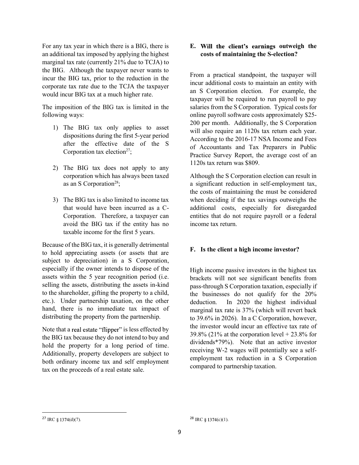For any tax year in which there is a BIG, there is an additional tax imposed by applying the highest marginal tax rate (currently 21% due to TCJA) to the BIG. Although the taxpayer never wants to incur the BIG tax, prior to the reduction in the corporate tax rate due to the TCJA the taxpayer would incur BIG tax at a much higher rate.

The imposition of the BIG tax is limited in the following ways:

- 1) The BIG tax only applies to asset dispositions during the first 5-year period after the effective date of the S Corporation tax election<sup>27</sup>;
- 2) The BIG tax does not apply to any corporation which has always been taxed as an S Corporation<sup>28</sup>;
- 3) The BIG tax is also limited to income tax that would have been incurred as a C-Corporation. Therefore, a taxpayer can avoid the BIG tax if the entity has no taxable income for the first 5 years.

Because of the BIG tax, it is generally detrimental to hold appreciating assets (or assets that are subject to depreciation) in a S Corporation, especially if the owner intends to dispose of the assets within the 5 year recognition period (i.e. selling the assets, distributing the assets in-kind to the shareholder, gifting the property to a child, etc.). Under partnership taxation, on the other hand, there is no immediate tax impact of distributing the property from the partnership.

the BIG tax because they do not intend to buy and hold the property for a long period of time. Additionally, property developers are subject to both ordinary income tax and self employment tax on the proceeds of a real estate sale.

# E. Will the client's earnings outweigh the costs of maintaining the S-election?

From a practical standpoint, the taxpayer will incur additional costs to maintain an entity with an S Corporation election. For example, the taxpayer will be required to run payroll to pay salaries from the S Corporation. Typical costs for **E. Will the client's earnings outweigh the**<br>costs of maintaining the S-election?<br>From a practical standpoint, the taxpayer will<br>incur additional costs to maintain an entity with<br>an S Corporation election. For example, the 200 per month. Additionally, the S Corporation will also require an 1120s tax return each year. According to the 2016-17 NSA Income and Fees of Accountants and Tax Preparers in Public E. Will the client's earnings outweigh the<br>costs of maintaining the S-election?<br>From a practical standpoint, the taxpayer will<br>incur additional costs to maintain an entity with<br>an S Corporation election. For example, the<br>t 1120s tax return was \$809.

Although the S Corporation election can result in a significant reduction in self-employment tax, the costs of maintaining the must be considered when deciding if the tax savings outweighs the additional costs, especially for disregarded entities that do not require payroll or a federal income tax return.

# F. Is the client a high income investor?

Note that a real estate "flipper" is less effected by the investor would incur an enective tax rate of  $39.8\%$  (21% at the corporation level + 23.8% for High income passive investors in the highest tax brackets will not see significant benefits from pass-through S Corporation taxation, especially if the businesses do not qualify for the 20% In 2020 the highest individual marginal tax rate is 37% (which will revert back to 39.6% in 2026). In a C Corporation, however, the investor would incur an effective tax rate of a significant reduction in self-employment tax,<br>the costs of maintaining the must be considered<br>when deciding if the tax savings outweighs the<br>additional costs, especially for disregarded<br>entities that do not require payro dividends\*79%). Note that an active investor receiving W-2 wages will potentially see a selfemployment tax reduction in a S Corporation compared to partnership taxation.

<sup>&</sup>lt;sup>27</sup> IRC § 1374(d)(7).

 $28 \text{ IRC }$ § 1374(c)(1).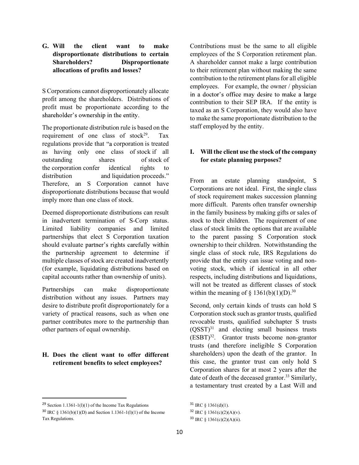G. Will the client want to make Contributions must l<br>disproportionate distributions to certain employees of the S C<br>Shareholders? Disproportionate A shareholder canno<br>allocations of profits and losses?<br>their retirement pla disproportionate distributions to certain Shareholders? Disproportionate allocations of profits and losses?

S Corporations cannot disproportionately allocate in a doctor's office may desire to make a large profit among the shareholders. Distributions of profit must be proportionate according to the shareholder's ownership in the entity.

The proportionate distribution rule is based on the requirement of one class of stock<sup>29</sup>. Tax regulations provide that "a corporation is treated as having only one class of stock if all outstanding shares of stock of the corporation confer identical rights to distribution and liquidation proceeds."<br>Therefore, an S Corporation cannot have disproportionate distributions because that would imply more than one class of stock.

Deemed disproportionate distributions can result in inadvertent termination of S-Corp status. Limited liability companies and limited partnerships that elect S Corporation taxation should evaluate partner's rights carefully within the partnership agreement to determine if multiple classes of stock are created inadvertently (for example, liquidating distributions based on capital accounts rather than ownership of units).

Partnerships can make disproportionate distribution without any issues. Partners may desire to distribute profit disproportionately for a variety of practical reasons, such as when one partner contributes more to the partnership than other partners of equal ownership.

# H. Does the client want to offer different retirement benefits to select employees?

Contributions must be the same to all eligible employees of the S Corporation retirement plan. A shareholder cannot make a large contribution to their retirement plan without making the same contribution to the retirement plans for all eligible employees. For example, the owner / physician contribution to their SEP IRA. If the entity is taxed as an S Corporation, they would also have to make the same proportionate distribution to the staff employed by the entity.

# I. Will the client use the stock of the company for estate planning purposes?

From an estate planning standpoint, S Corporations are not ideal. First, the single class of stock requirement makes succession planning more difficult. Parents often transfer ownership in the family business by making gifts or sales of stock to their children. The requirement of one class of stock limits the options that are available to the parent passing S Corporation stock ownership to their children. Notwithstanding the single class of stock rule, IRS Regulations do provide that the entity can issue voting and nonvoting stock, which if identical in all other respects, including distributions and liquidations, will not be treated as different classes of stock within the meaning of  $\S$  1361(b)(1)(D).<sup>30</sup>

Second, only certain kinds of trusts can hold S Corporation stock such as grantor trusts, qualified revocable trusts, qualified subchapter S trusts  $(QSST)^{31}$  and electing small business trusts  $(ESBT)^{32}$ . Grantor trusts become non-grantor trusts (and therefore ineligible S Corporation shareholders) upon the death of the grantor. In this case, the grantor trust can only hold S Corporation shares for at most 2 years after the date of death of the deceased grantor.<sup>33</sup> Similarly, a testamentary trust created by a Last Will and

 $31$  IRC  $\frac{1361}{d}(1)$ .

 $32 \text{ IRC } $1361(c)(2)(A)(v).$ 

<sup>33</sup> IRC § 1361(c)(2)(A)(ii).

<sup>&</sup>lt;sup>29</sup> Section 1.1361-1(l)(1) of the Income Tax Regulations

<sup>&</sup>lt;sup>30</sup> IRC  $\frac{1361(b)(1)(D)}{2}$  and Section 1.1361-1(1)(1) of the Income Tax Regulations.